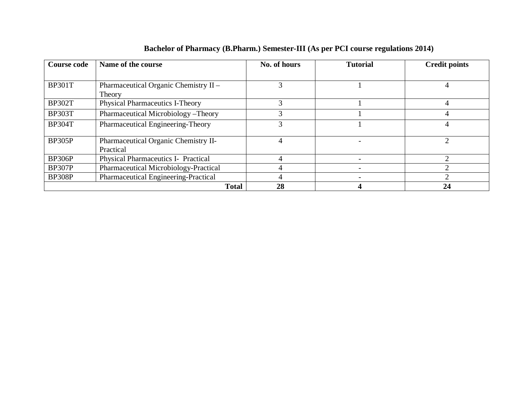| <b>Course code</b> | Name of the course                     | No. of hours | <b>Tutorial</b> | <b>Credit points</b>        |  |
|--------------------|----------------------------------------|--------------|-----------------|-----------------------------|--|
|                    |                                        |              |                 |                             |  |
| <b>BP301T</b>      | Pharmaceutical Organic Chemistry II -  | 3            |                 |                             |  |
|                    | Theory                                 |              |                 |                             |  |
| <b>BP302T</b>      | <b>Physical Pharmaceutics I-Theory</b> |              |                 |                             |  |
| <b>BP303T</b>      | Pharmaceutical Microbiology-Theory     |              |                 |                             |  |
| <b>BP304T</b>      | Pharmaceutical Engineering-Theory      | 3            |                 | 4                           |  |
|                    |                                        |              |                 |                             |  |
| <b>BP305P</b>      | Pharmaceutical Organic Chemistry II-   | 4            |                 | $\mathcal{D}_{\mathcal{A}}$ |  |
|                    | Practical                              |              |                 |                             |  |
| <b>BP306P</b>      | Physical Pharmaceutics I- Practical    |              |                 |                             |  |
| <b>BP307P</b>      | Pharmaceutical Microbiology-Practical  |              |                 | ⌒                           |  |
| <b>BP308P</b>      | Pharmaceutical Engineering-Practical   |              |                 |                             |  |
|                    | <b>Total</b>                           | 28           |                 | 24                          |  |

## **Bachelor of Pharmacy (B.Pharm.) Semester-III (As per PCI course regulations 2014)**